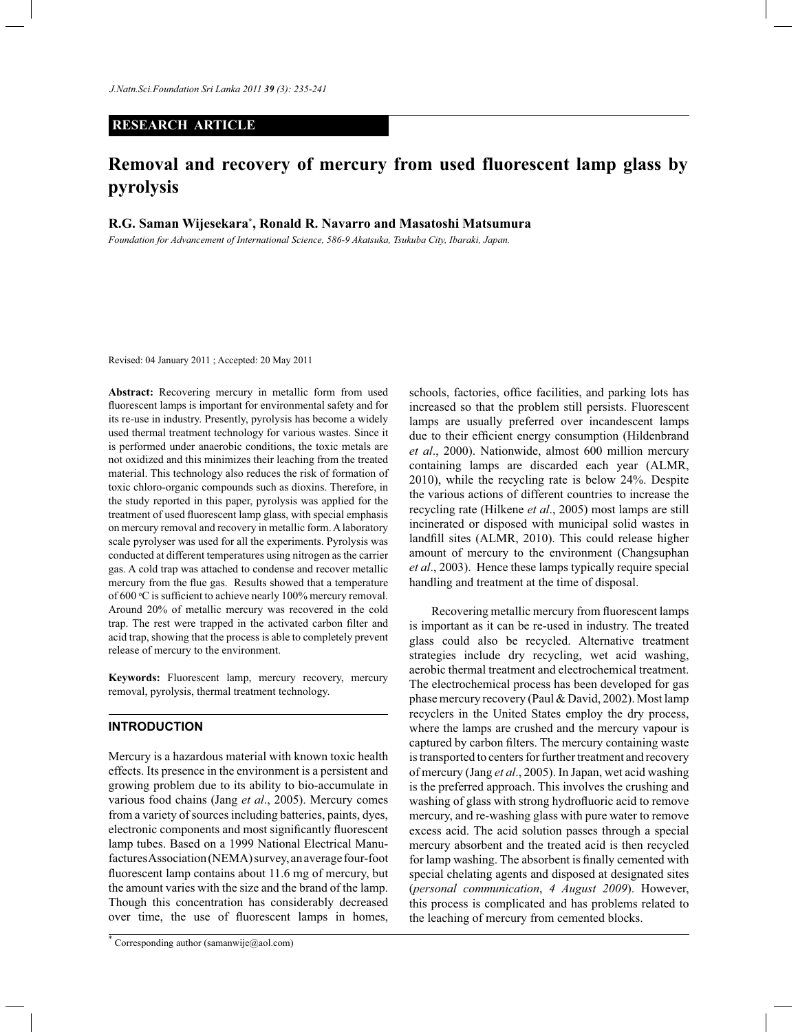# **RESEARCH ARTICLE**

# **Removal and recovery of mercury from used fluorescent lamp glass by pyrolysis**

**R.G. Saman Wijesekara\* , Ronald R. Navarro and Masatoshi Matsumura**

*Foundation for Advancement of International Science, 586-9 Akatsuka, Tsukuba City, Ibaraki, Japan.*

Revised: 04 January 2011 ; Accepted: 20 May 2011

**Abstract:** Recovering mercury in metallic form from used fluorescent lamps is important for environmental safety and for its re-use in industry. Presently, pyrolysis has become a widely used thermal treatment technology for various wastes. Since it is performed under anaerobic conditions, the toxic metals are not oxidized and this minimizes their leaching from the treated material. This technology also reduces the risk of formation of toxic chloro-organic compounds such as dioxins. Therefore, in the study reported in this paper, pyrolysis was applied for the treatment of used fluorescent lamp glass, with special emphasis on mercury removal and recovery in metallic form. A laboratory scale pyrolyser was used for all the experiments. Pyrolysis was conducted at different temperatures using nitrogen as the carrier gas. A cold trap was attached to condense and recover metallic mercury from the flue gas. Results showed that a temperature of 600 °C is sufficient to achieve nearly 100% mercury removal. Around 20% of metallic mercury was recovered in the cold trap. The rest were trapped in the activated carbon filter and acid trap, showing that the process is able to completely prevent release of mercury to the environment.

**Keywords:** Fluorescent lamp, mercury recovery, mercury removal, pyrolysis, thermal treatment technology.

#### **INTRODUCTION**

Mercury is a hazardous material with known toxic health effects. Its presence in the environment is a persistent and growing problem due to its ability to bio-accumulate in various food chains (Jang *et al*., 2005). Mercury comes from a variety of sources including batteries, paints, dyes, electronic components and most significantly fluorescent lamp tubes. Based on a 1999 National Electrical Manufactures Association (NEMA) survey, an average four-foot fluorescent lamp contains about 11.6 mg of mercury, but the amount varies with the size and the brand of the lamp. Though this concentration has considerably decreased over time, the use of fluorescent lamps in homes,

schools, factories, office facilities, and parking lots has increased so that the problem still persists. Fluorescent lamps are usually preferred over incandescent lamps due to their efficient energy consumption (Hildenbrand *et al*., 2000). Nationwide, almost 600 million mercury containing lamps are discarded each year (ALMR, 2010), while the recycling rate is below 24%. Despite the various actions of different countries to increase the recycling rate (Hilkene *et al*., 2005) most lamps are still incinerated or disposed with municipal solid wastes in landfill sites (ALMR, 2010). This could release higher amount of mercury to the environment (Changsuphan *et al*., 2003). Hence these lamps typically require special handling and treatment at the time of disposal.

Recovering metallic mercury from fluorescent lamps is important as it can be re-used in industry. The treated glass could also be recycled. Alternative treatment strategies include dry recycling, wet acid washing, aerobic thermal treatment and electrochemical treatment. The electrochemical process has been developed for gas phase mercury recovery (Paul & David, 2002). Most lamp recyclers in the United States employ the dry process, where the lamps are crushed and the mercury vapour is captured by carbon filters. The mercury containing waste is transported to centers for further treatment and recovery of mercury (Jang *et al*., 2005). In Japan, wet acid washing is the preferred approach. This involves the crushing and washing of glass with strong hydrofluoric acid to remove mercury, and re-washing glass with pure water to remove excess acid. The acid solution passes through a special mercury absorbent and the treated acid is then recycled for lamp washing. The absorbent is finally cemented with special chelating agents and disposed at designated sites (*personal communication*, *4 August 2009*). However, this process is complicated and has problems related to the leaching of mercury from cemented blocks.

<sup>\*</sup> Corresponding author (samanwije@aol.com)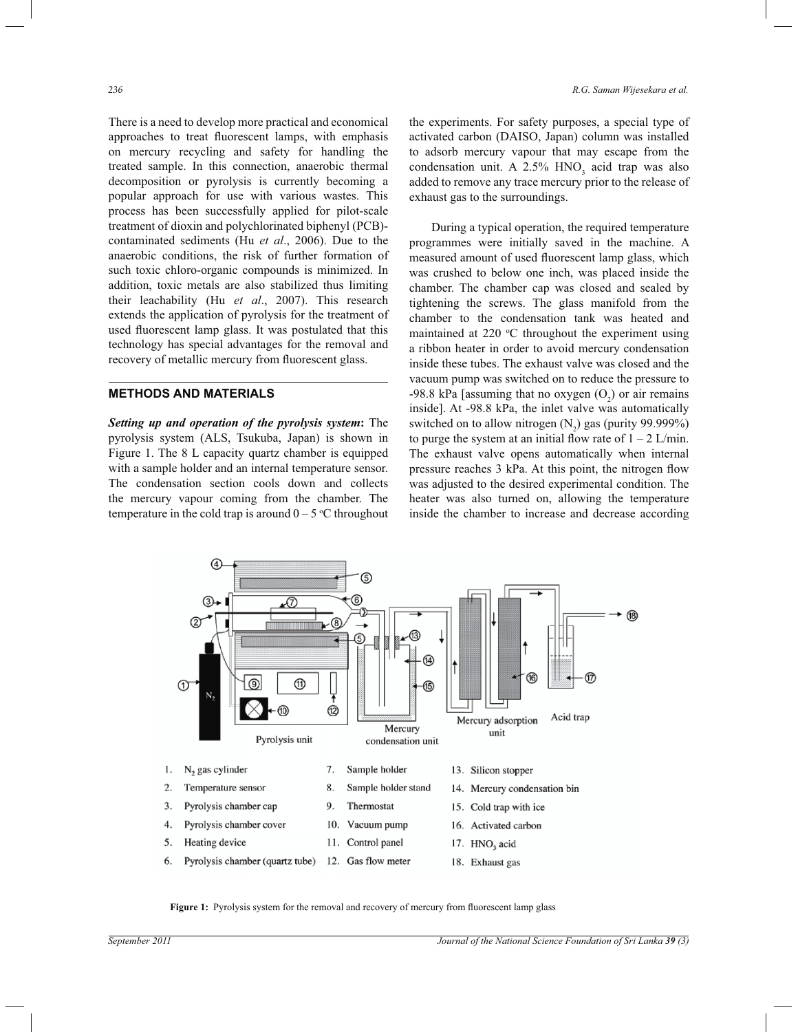There is a need to develop more practical and economical approaches to treat fluorescent lamps, with emphasis on mercury recycling and safety for handling the treated sample. In this connection, anaerobic thermal decomposition or pyrolysis is currently becoming a popular approach for use with various wastes. This process has been successfully applied for pilot-scale treatment of dioxin and polychlorinated biphenyl (PCB) contaminated sediments (Hu *et al*., 2006). Due to the anaerobic conditions, the risk of further formation of such toxic chloro-organic compounds is minimized. In addition, toxic metals are also stabilized thus limiting their leachability (Hu *et al*., 2007). This research extends the application of pyrolysis for the treatment of used fluorescent lamp glass. It was postulated that this technology has special advantages for the removal and recovery of metallic mercury from fluorescent glass.

# **METHODS AND MATERIALS**

*Setting up and operation of the pyrolysis system***:** The pyrolysis system (ALS, Tsukuba, Japan) is shown in Figure 1. The 8 L capacity quartz chamber is equipped with a sample holder and an internal temperature sensor. The condensation section cools down and collects the mercury vapour coming from the chamber. The temperature in the cold trap is around  $0 - 5$  °C throughout the experiments. For safety purposes, a special type of activated carbon (DAISO, Japan) column was installed to adsorb mercury vapour that may escape from the condensation unit. A  $2.5\%$  HNO<sub>3</sub> acid trap was also added to remove any trace mercury prior to the release of exhaust gas to the surroundings.

 During a typical operation, the required temperature programmes were initially saved in the machine. A measured amount of used fluorescent lamp glass, which was crushed to below one inch, was placed inside the chamber. The chamber cap was closed and sealed by tightening the screws. The glass manifold from the chamber to the condensation tank was heated and maintained at  $220 \degree C$  throughout the experiment using a ribbon heater in order to avoid mercury condensation inside these tubes. The exhaust valve was closed and the vacuum pump was switched on to reduce the pressure to -98.8 kPa [assuming that no oxygen  $(O_2)$  or air remains inside]. At -98.8 kPa, the inlet valve was automatically switched on to allow nitrogen  $(N_2)$  gas (purity 99.999%) to purge the system at an initial flow rate of  $1 - 2$  L/min. The exhaust valve opens automatically when internal pressure reaches 3 kPa. At this point, the nitrogen flow was adjusted to the desired experimental condition. The heater was also turned on, allowing the temperature inside the chamber to increase and decrease according



Figure 1: Pyrolysis system for the removal and recovery of mercury from fluorescent lamp glass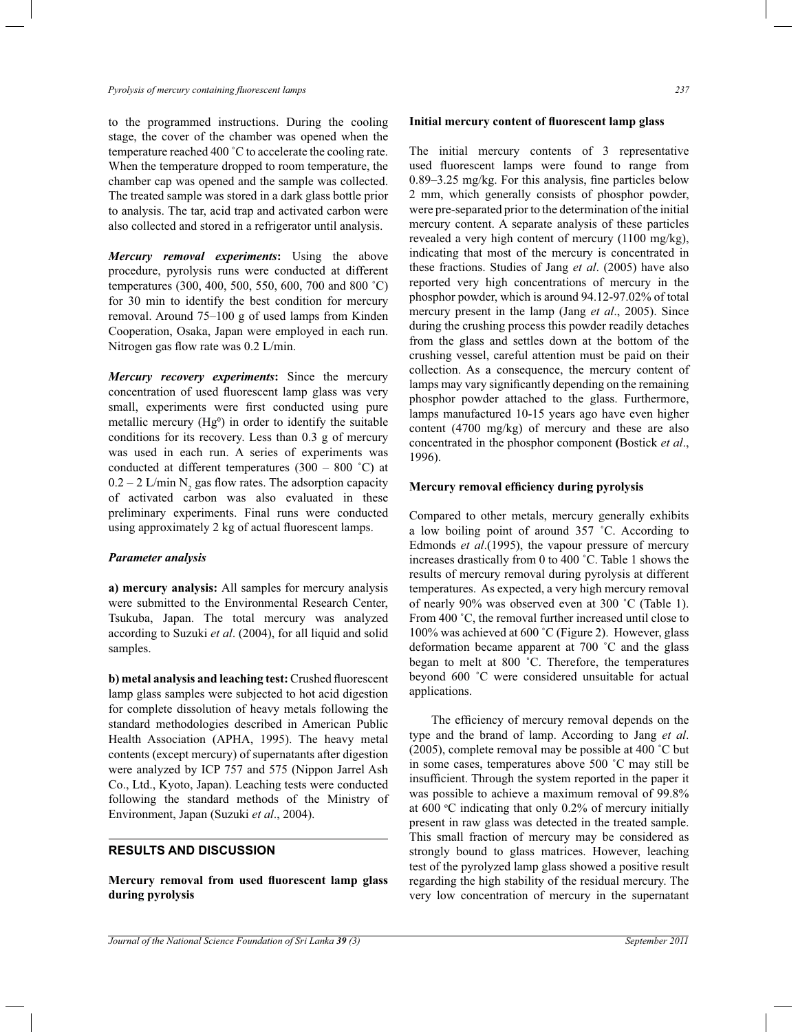to the programmed instructions. During the cooling stage, the cover of the chamber was opened when the temperature reached 400 ˚C to accelerate the cooling rate. When the temperature dropped to room temperature, the chamber cap was opened and the sample was collected. The treated sample was stored in a dark glass bottle prior to analysis. The tar, acid trap and activated carbon were also collected and stored in a refrigerator until analysis.

*Mercury removal experiments***:** Using the above procedure, pyrolysis runs were conducted at different temperatures (300, 400, 500, 550, 600, 700 and 800 ˚C) for 30 min to identify the best condition for mercury removal. Around 75–100 g of used lamps from Kinden Cooperation, Osaka, Japan were employed in each run. Nitrogen gas flow rate was 0.2 L/min.

*Mercury recovery experiments***:** Since the mercury concentration of used fluorescent lamp glass was very small, experiments were first conducted using pure metallic mercury  $(Hg<sup>0</sup>)$  in order to identify the suitable conditions for its recovery. Less than 0.3 g of mercury was used in each run. A series of experiments was conducted at different temperatures  $(300 - 800 \degree C)$  at  $0.2 - 2$  L/min N<sub>2</sub> gas flow rates. The adsorption capacity of activated carbon was also evaluated in these preliminary experiments. Final runs were conducted using approximately 2 kg of actual fluorescent lamps.

## *Parameter analysis*

**a) mercury analysis:** All samples for mercury analysis were submitted to the Environmental Research Center, Tsukuba, Japan. The total mercury was analyzed according to Suzuki *et al*. (2004), for all liquid and solid samples.

**b) metal analysis and leaching test:** Crushed fluorescent lamp glass samples were subjected to hot acid digestion for complete dissolution of heavy metals following the standard methodologies described in American Public Health Association (APHA, 1995). The heavy metal contents (except mercury) of supernatants after digestion were analyzed by ICP 757 and 575 (Nippon Jarrel Ash Co., Ltd., Kyoto, Japan). Leaching tests were conducted following the standard methods of the Ministry of Environment, Japan (Suzuki *et al*., 2004).

## **RESULTS AND DISCUSSION**

**Mercury removal from used fluorescent lamp glass during pyrolysis**

#### **Initial mercury content of fluorescent lamp glass**

The initial mercury contents of 3 representative used fluorescent lamps were found to range from 0.89–3.25 mg/kg. For this analysis, fine particles below 2 mm, which generally consists of phosphor powder, were pre-separated prior to the determination of the initial mercury content. A separate analysis of these particles revealed a very high content of mercury (1100 mg/kg), indicating that most of the mercury is concentrated in these fractions. Studies of Jang *et al*. (2005) have also reported very high concentrations of mercury in the phosphor powder, which is around 94.12-97.02% of total mercury present in the lamp (Jang *et al*., 2005). Since during the crushing process this powder readily detaches from the glass and settles down at the bottom of the crushing vessel, careful attention must be paid on their collection. As a consequence, the mercury content of lamps may vary significantly depending on the remaining phosphor powder attached to the glass. Furthermore, lamps manufactured 10-15 years ago have even higher content (4700 mg/kg) of mercury and these are also concentrated in the phosphor component **(**Bostick *et al*., 1996).

## **Mercury removal efficiency during pyrolysis**

Compared to other metals, mercury generally exhibits a low boiling point of around 357 ˚C. According to Edmonds *et al*.(1995), the vapour pressure of mercury increases drastically from 0 to 400 ˚C. Table 1 shows the results of mercury removal during pyrolysis at different temperatures. As expected, a very high mercury removal of nearly 90% was observed even at 300 ˚C (Table 1). From 400 °C, the removal further increased until close to 100% was achieved at 600 ˚C (Figure 2). However, glass deformation became apparent at 700 ˚C and the glass began to melt at 800 ˚C. Therefore, the temperatures beyond 600 ˚C were considered unsuitable for actual applications.

The efficiency of mercury removal depends on the type and the brand of lamp. According to Jang *et al*. (2005), complete removal may be possible at 400 ˚C but in some cases, temperatures above 500 ˚C may still be insufficient. Through the system reported in the paper it was possible to achieve a maximum removal of 99.8% at  $600 \degree C$  indicating that only  $0.2\%$  of mercury initially present in raw glass was detected in the treated sample. This small fraction of mercury may be considered as strongly bound to glass matrices. However, leaching test of the pyrolyzed lamp glass showed a positive result regarding the high stability of the residual mercury. The very low concentration of mercury in the supernatant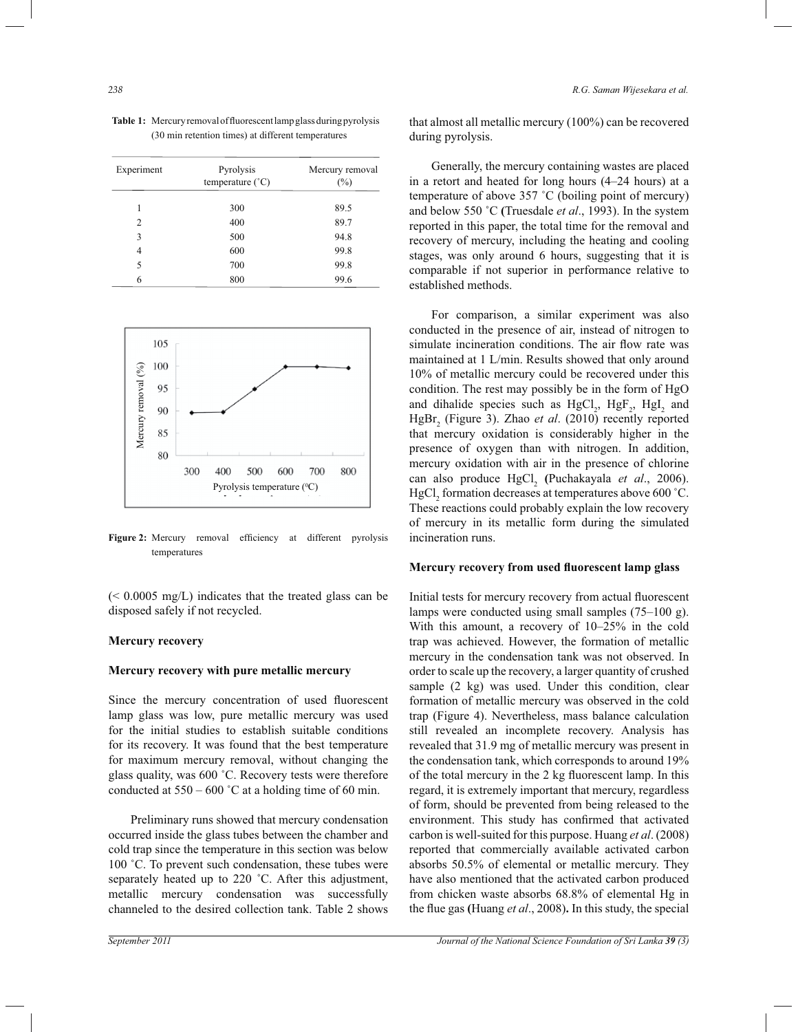**Table 1:** Mercury removal of fluorescent lamp glass during pyrolysis (30 min retention times) at different temperatures

| Experiment | Pyrolysis<br>temperature $(^{\circ}C)$ | Mercury removal<br>$(\%)$ |
|------------|----------------------------------------|---------------------------|
| 1          | 300                                    | 89.5                      |
| 2          | 400                                    | 89.7                      |
| 3          | 500                                    | 94.8                      |
| 4          | 600                                    | 99.8                      |
| 5          | 700                                    | 99.8                      |
| 6          | 800                                    | 99.6                      |



**Figure 2:** Mercury removal efficiency at different pyrolysis temperatures

(< 0.0005 mg/L) indicates that the treated glass can be disposed safely if not recycled.

# **Mercury recovery**

### **Mercury recovery with pure metallic mercury**

Since the mercury concentration of used fluorescent lamp glass was low, pure metallic mercury was used for the initial studies to establish suitable conditions for its recovery. It was found that the best temperature for maximum mercury removal, without changing the glass quality, was 600 ˚C. Recovery tests were therefore conducted at  $550 - 600$  °C at a holding time of 60 min.

 Preliminary runs showed that mercury condensation occurred inside the glass tubes between the chamber and cold trap since the temperature in this section was below 100 °C. To prevent such condensation, these tubes were separately heated up to 220 ˚C. After this adjustment, metallic mercury condensation was successfully channeled to the desired collection tank. Table 2 shows

that almost all metallic mercury (100%) can be recovered during pyrolysis.

 Generally, the mercury containing wastes are placed in a retort and heated for long hours (4–24 hours) at a temperature of above 357 ˚C (boiling point of mercury) and below 550 ˚C **(**Truesdale *et al*., 1993). In the system reported in this paper, the total time for the removal and recovery of mercury, including the heating and cooling stages, was only around 6 hours, suggesting that it is comparable if not superior in performance relative to established methods.

 For comparison, a similar experiment was also conducted in the presence of air, instead of nitrogen to simulate incineration conditions. The air flow rate was maintained at 1 L/min. Results showed that only around 10% of metallic mercury could be recovered under this condition. The rest may possibly be in the form of HgO and dihalide species such as  $HgCl_2$ ,  $HgF_2$ ,  $HgI_2$  and HgBr<sub>2</sub> (Figure 3). Zhao *et al.* (2010) recently reported that mercury oxidation is considerably higher in the presence of oxygen than with nitrogen. In addition, mercury oxidation with air in the presence of chlorine can also produce HgCl<sub>2</sub> (Puchakayala *et al.*, 2006).  $HgCl<sub>2</sub>$  formation decreases at temperatures above 600 °C. These reactions could probably explain the low recovery of mercury in its metallic form during the simulated incineration runs.

#### **Mercury recovery from used fluorescent lamp glass**

Initial tests for mercury recovery from actual fluorescent lamps were conducted using small samples (75–100 g). With this amount, a recovery of 10–25% in the cold trap was achieved. However, the formation of metallic mercury in the condensation tank was not observed. In order to scale up the recovery, a larger quantity of crushed sample (2 kg) was used. Under this condition, clear formation of metallic mercury was observed in the cold trap (Figure 4). Nevertheless, mass balance calculation still revealed an incomplete recovery. Analysis has revealed that 31.9 mg of metallic mercury was present in the condensation tank, which corresponds to around 19% of the total mercury in the 2 kg fluorescent lamp. In this regard, it is extremely important that mercury, regardless of form, should be prevented from being released to the environment. This study has confirmed that activated carbon is well-suited for this purpose. Huang *et al*. (2008) reported that commercially available activated carbon absorbs 50.5% of elemental or metallic mercury. They have also mentioned that the activated carbon produced from chicken waste absorbs 68.8% of elemental Hg in the flue gas **(**Huang *et al*., 2008)**.** In this study, the special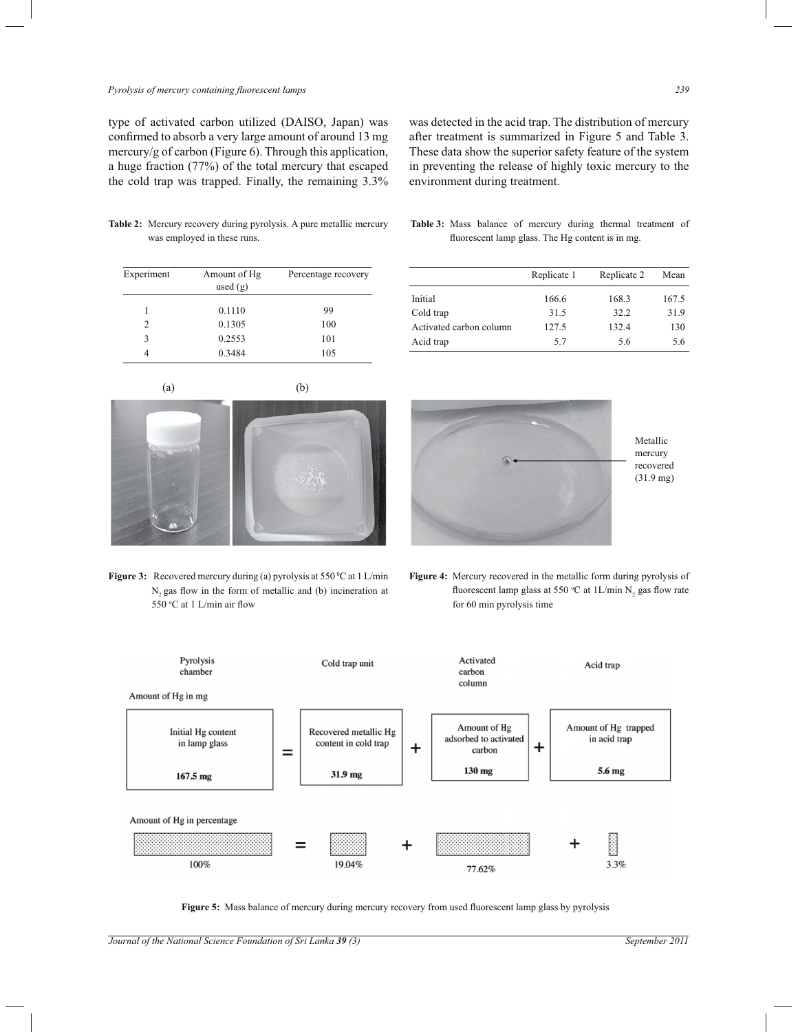## *Pyrolysis of mercury containing fluorescent lamps 239*

type of activated carbon utilized (DAISO, Japan) was confirmed to absorb a very large amount of around 13 mg mercury/g of carbon (Figure 6). Through this application, a huge fraction (77%) of the total mercury that escaped the cold trap was trapped. Finally, the remaining 3.3% was detected in the acid trap. The distribution of mercury after treatment is summarized in Figure 5 and Table 3. These data show the superior safety feature of the system in preventing the release of highly toxic mercury to the environment during treatment.

**Table 2:** Mercury recovery during pyrolysis. A pure metallic mercury was employed in these runs.

| Experiment     | Amount of Hg<br>used $(g)$ | Percentage recovery |  |
|----------------|----------------------------|---------------------|--|
|                | 0.1110                     | 99                  |  |
| $\mathfrak{D}$ | 0.1305                     | 100                 |  |
| 3              | 0.2553                     | 101                 |  |
| 4              | 0.3484                     | 105                 |  |

**Table 3:** Mass balance of mercury during thermal treatment of fluorescent lamp glass. The Hg content is in mg.

|                         | Replicate 1 | Replicate 2 | Mean  |
|-------------------------|-------------|-------------|-------|
| Initial                 | 166.6       | 168.3       | 167.5 |
| Cold trap               | 31.5        | 32.2        | 31.9  |
| Activated carbon column | 127.5       | 132.4       | 130   |
| Acid trap               | 57          | 5.6         | 5.6   |



**Figure 3:** Recovered mercury during (a) pyrolysis at 550 °C at 1 L/min N<sub>2</sub> gas flow in the form of metallic and (b) incineration at 550 <sup>o</sup>C at 1 L/min air flow



**Figure 4:** Mercury recovered in the metallic form during pyrolysis of fluorescent lamp glass at 550 °C at  $1L/min N_2$  gas flow rate for 60 min pyrolysis time



**Figure 5:** Mass balance of mercury during mercury recovery from used fluorescent lamp glass by pyrolysis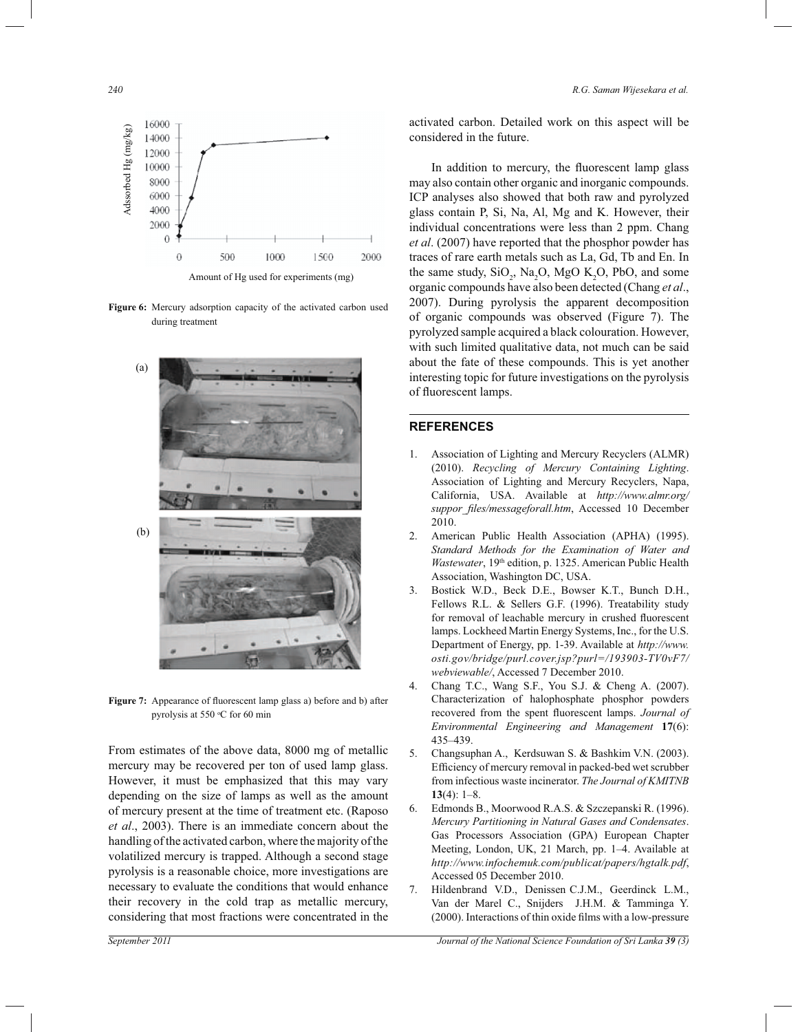*240 R.G. Saman Wijesekara et al.*



**Figure 6:** Mercury adsorption capacity of the activated carbon used during treatment



Figure 7: Appearance of fluorescent lamp glass a) before and b) after pyrolysis at 550 °C for 60 min

From estimates of the above data, 8000 mg of metallic mercury may be recovered per ton of used lamp glass. However, it must be emphasized that this may vary depending on the size of lamps as well as the amount of mercury present at the time of treatment etc. (Raposo *et al*., 2003). There is an immediate concern about the handling of the activated carbon, where the majority of the volatilized mercury is trapped. Although a second stage pyrolysis is a reasonable choice, more investigations are necessary to evaluate the conditions that would enhance their recovery in the cold trap as metallic mercury, considering that most fractions were concentrated in the

activated carbon. Detailed work on this aspect will be considered in the future.

In addition to mercury, the fluorescent lamp glass may also contain other organic and inorganic compounds. ICP analyses also showed that both raw and pyrolyzed glass contain P, Si, Na, Al, Mg and K. However, their individual concentrations were less than 2 ppm. Chang *et al*. (2007) have reported that the phosphor powder has traces of rare earth metals such as La, Gd, Tb and En. In the same study,  $SiO_2$ ,  $Na_2O$ ,  $MgO K_2O$ , PbO, and some organic compounds have also been detected (Chang *et al*., 2007). During pyrolysis the apparent decomposition of organic compounds was observed (Figure 7). The pyrolyzed sample acquired a black colouration. However, with such limited qualitative data, not much can be said about the fate of these compounds. This is yet another interesting topic for future investigations on the pyrolysis of fluorescent lamps.

## **REFERENCES**

- 1. Association of Lighting and Mercury Recyclers (ALMR) (2010). *Recycling of Mercury Containing Lighting*. Association of Lighting and Mercury Recyclers, Napa, California, USA. Available at *http://www.almr.org/ suppor\_files/messageforall.htm*, Accessed 10 December 2010.
- 2. American Public Health Association (APHA) (1995). *Standard Methods for the Examination of Water and Wastewater*, 19<sup>th</sup> edition, p. 1325. American Public Health Association, Washington DC, USA.
- 3. Bostick W.D., Beck D.E., Bowser K.T., Bunch D.H., Fellows R.L. & Sellers G.F. (1996). Treatability study for removal of leachable mercury in crushed fluorescent lamps. Lockheed Martin Energy Systems, Inc., for the U.S. Department of Energy, pp. 1-39. Available at *http://www. osti.gov/bridge/purl.cover.jsp?purl=/193903-TV0vF7/ webviewable/*, Accessed 7 December 2010.
- 4. Chang T.C., Wang S.F., You S.J. & Cheng A. (2007). Characterization of halophosphate phosphor powders recovered from the spent fluorescent lamps. *Journal of Environmental Engineering and Management* **17**(6): 435–439.
- 5. Changsuphan A., Kerdsuwan S. & Bashkim V.N. (2003). Efficiency of mercury removal in packed-bed wet scrubber from infectious waste incinerator. *The Journal of KMITNB* **13**(4): 1–8.
- 6. Edmonds B., Moorwood R.A.S. & Szczepanski R. (1996). *Mercury Partitioning in Natural Gases and Condensates*. Gas Processors Association (GPA) European Chapter Meeting, London, UK, 21 March, pp. 1–4. Available at *http://www.infochemuk.com/publicat/papers/hgtalk.pdf*, Accessed 05 December 2010.
- 7. Hildenbrand V.D., Denissen C.J.M., Geerdinck L.M., Van der Marel C., Snijders J.H.M. & Tamminga Y. (2000). Interactions of thin oxide films with a low-pressure